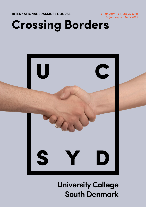**INTERNATIONAL ERASMUS+ COURSE**

31 January - 24 June 2022 or 31 January - 6 May 2022

# **Crossing Borders**



**University College South Denmark**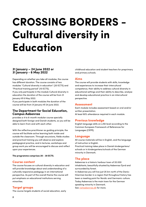## **CROSSING BORDERS - Cultural diversity in Education**

### **31 January – 24 June 2022 or 31 January - 6 May 2022**

Depending on whether you take all modules, the course has different duration. The course consists of two modules "Cultural diversity in education" (20 ECTS) and "Practical training period" (10 ECTS).

If you only participate in the module Cultural diversity in education the duration of the course will be from 31 January till 6 May 2022.

If you participate in both modules the duration of the course will be from 31 January till 24 June 2022.

#### **The Department for Social Education, Campus Aabenraa**

provides a 4 to 6-month modular course specially designed both foreign and Danish students, so you will be able to learn from and with each other.

With the reflective practitioner as guiding principle, the course will facilitate active learning both inside and outside the classroom. Through excursions, fields studies and practical training you will observe and explore pedagogical practice, and in lectures, workshops and group work you will be encouraged to discuss and reflect upon your experiences.

**The programme comprises 20 - 30 ECTS.**

#### **Course content**

The course focuses on cultural diversity in education and will provide knowledge about and understanding of a culturally responsive pedagogy in an international perspective. As part of the overall theme the course will put emphasis on educational institutions serving minorities.

## **Target groups**

The course targets students of social education, early

childhood education and student teachers for preprimary and primary schools.

#### **Aims**

The course will provide students with skills, knowledge and experiences to increase their intercultural competence, their ability to address cultural diversity in educational settings and their ability to describe, analyse and develop educational practice in an intercultural perspective.

#### **Assessment**

Each module includes assessment based on oral and/or written presentation. At least 80% attendance required in each module.

## **Previous knowledge**

English language skills on a B2 level according to the Common European Framework of References for Languages (CEFR).

#### **Language**

All course materials will be in English, and the language of instruction is English.

Practical training takes place in Danish kindergartens/ schools or in kindergartens/schools of the German minority in Denmark.

#### **The place**

Aabenraa is a historic harbour town of 20.000 inhabitants, beautifully situated by Aabenraa Fjord and surrounded by forest.

In Aabenraa you will live just 25 km north of the DanishGerman border in a region that throughout history has been a meeting point for Nordic and Germanic culture. Today Aabenraa is the main town for the German speaking minority in Denmark.

See [visitaabenraa.dk](https://https//www.visitsonderjylland.dk/turist/omraadet/aabenraa/aabenraa) for more.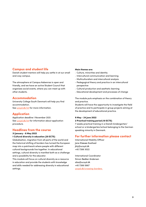#### **Campus and student life**

Danish student mentors will help you settle in at our small and cosy campus.

The atmosphere at Campus Aabenraa is open and friendly, and we have an active Student Council that organizes social events, where you can meet up with other students.

#### **Accommodation**

University College South Denmark will help you find accommodation.

See [ucsyd.dk/int](https://https//www.ucsyd.dk/english/incoming-students) for more information.

## **Application**

Application deadline 1 November 2021. See [ucsyd.dk/int](https://https//www.ucsyd.dk/english/incoming-students) for information about application procedure.

#### **Headlines from the course**

#### **31 January - 6 May 2022**

#### **1 Cultural diversity in education (20 ECTS)**

Globalisation, migration from all parts of the world and the historical shifting of borders has turned the European map into a patchwork where people with different cultural backgrounds live together. In educational settings, cultural diversity is manifest both as a challenge and a possibility for the educator.

This module will focus on cultural diversity as a resource in education and provide the students with knowledge and skills needed for addressing diversity in educational settings.

#### **Main themes are:**

- Culture, minorities and identity
- Intercultural communication and learning
- Multiculturalism and intercultural analysis
- Pedagogical theory and practice in an intercultural perspective
- Cultural production and aesthetic learning
- Educational development and processes of change

The module puts emphasis on the combination of theory and practice.

Students will have the opportunity to investigate the field of practice and to participate in group projects aiming at the development of educational practice.

## **9 May - 24 June 2022**

#### **2 Practical training period (10 ECTS)**

7 weeks practical training in a Danish kindergarten/ school or a kindergarten/school belonging to the German speaking minority in Denmark.

#### **For further information please contact**

International Mobility Officer Jane Klæsøe Koefoed jkly@ucsyd.dk +45 7266 3022

International Coordinator Simon Bødker Andersen siba@ucsyd.dk +45 7266 5667 ucsy[d.dk/crossing-borders](https://https//www.ucsyd.dk/english/incoming-students/crossing-borders)